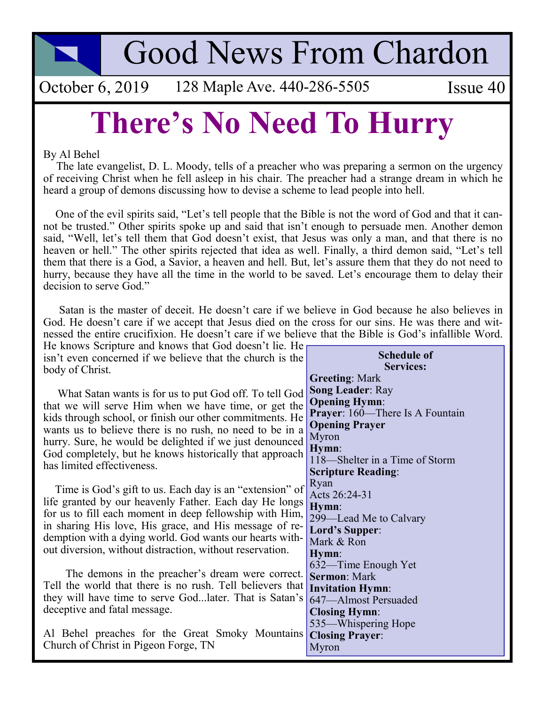**Good News From Chardon** 

October 6, 2019 128 Maple Ave. 440-286-5505

Issue 40

## **There's No Need To Hurry**

## By Al Behel

The late evangelist, D. L. Moody, tells of a preacher who was preparing a sermon on the urgency of receiving Christ when he fell asleep in his chair. The preacher had a strange dream in which he heard a group of demons discussing how to devise a scheme to lead people into hell.

One of the evil spirits said, "Let's tell people that the Bible is not the word of God and that it cannot be trusted." Other spirits spoke up and said that isn't enough to persuade men. Another demon said, "Well, let's tell them that God doesn't exist, that Jesus was only a man, and that there is no heaven or hell." The other spirits rejected that idea as well. Finally, a third demon said, "Let's tell them that there is a God, a Savior, a heaven and hell. But, let's assure them that they do not need to hurry, because they have all the time in the world to be saved. Let's encourage them to delay their decision to serve God."

Satan is the master of deceit. He doesn't care if we believe in God because he also believes in God. He doesn't care if we accept that Jesus died on the cross for our sins. He was there and witnessed the entire crucifixion. He doesn't care if we believe that the Bible is God's infallible Word.

He knows Scripture and knows that God doesn't lie. He isn't even concerned if we believe that the church is the body of Christ.

What Satan wants is for us to put God off. To tell God that we will serve Him when we have time, or get the kids through school, or finish our other commitments. He wants us to believe there is no rush, no need to be in a hurry. Sure, he would be delighted if we just denounced God completely, but he knows historically that approach has limited effectiveness.

Time is God's gift to us. Each day is an "extension" of life granted by our heavenly Father. Each day He longs for us to fill each moment in deep fellowship with Him. in sharing His love, His grace, and His message of redemption with a dying world. God wants our hearts without diversion, without distraction, without reservation.

The demons in the preacher's dream were correct. Tell the world that there is no rush. Tell believers that they will have time to serve God...later. That is Satan's deceptive and fatal message.

Al Behel preaches for the Great Smoky Mountains Church of Christ in Pigeon Forge, TN

|                      | <b>Schedule of</b><br><b>Services:</b> |
|----------------------|----------------------------------------|
|                      | <b>Greeting: Mark</b>                  |
| I                    | <b>Song Leader: Ray</b>                |
|                      | <b>Opening Hymn:</b>                   |
| $\frac{1}{2}$        | Prayer: 160—There Is A Fountain        |
|                      | <b>Opening Prayer</b>                  |
|                      | Myron                                  |
|                      | Hymn:                                  |
|                      | 118—Shelter in a Time of Storm         |
|                      | <b>Scripture Reading:</b>              |
|                      | Ryan                                   |
| f<br>                | Acts 26:24-31                          |
|                      | Hymn:                                  |
| ,                    | 299—Lead Me to Calvary                 |
| $\ddot{\phantom{0}}$ | Lord's Supper:                         |
|                      | Mark & Ron                             |
|                      | Hymn:                                  |
|                      | 632—Time Enough Yet                    |
| $\frac{1}{2}$        | <b>Sermon: Mark</b>                    |
|                      | <b>Invitation Hymn:</b>                |
| ;                    | 647-Almost Persuaded                   |
|                      | <b>Closing Hymn:</b>                   |
|                      | 535—Whispering Hope                    |
| \$                   | <b>Closing Prayer:</b>                 |
|                      | Myron                                  |